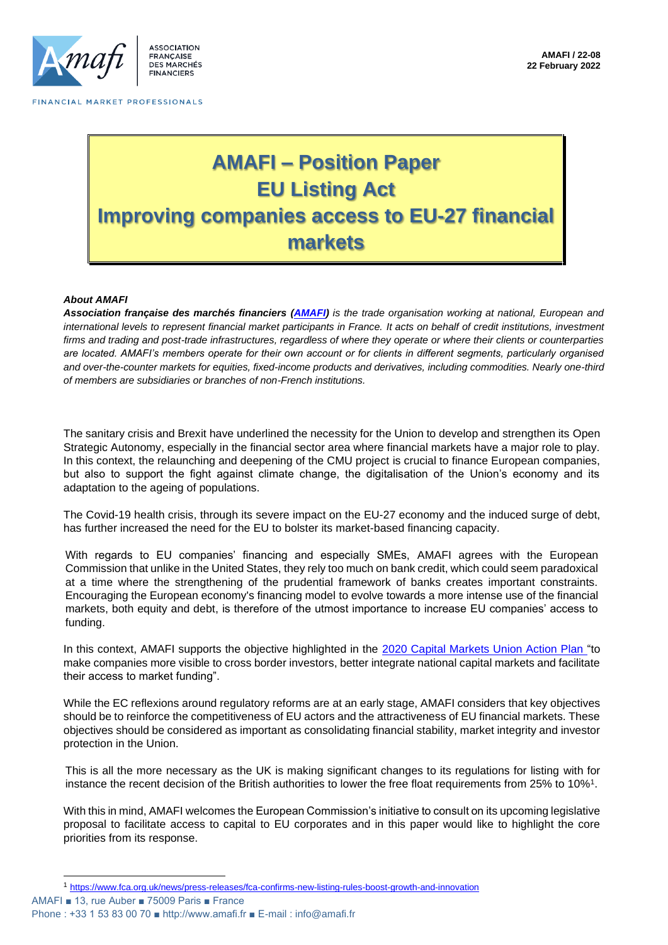

SSOCIATION FRANCAISE DES MARCHÉS **FINANCIERS** 

FINANCIAL MARKET PROFESSIONALS

# **AMAFI – Position Paper EU Listing Act Improving companies access to EU-27 financial markets**

### *About AMAFI*

*Association française des marchés financiers [\(AMAFI\)](http://amafi.fr/en) is the trade organisation working at national, European and international levels to represent financial market participants in France. It acts on behalf of credit institutions, investment firms and trading and post-trade infrastructures, regardless of where they operate or where their clients or counterparties are located. AMAFI's members operate for their own account or for clients in different segments, particularly organised and over-the-counter markets for equities, fixed-income products and derivatives, including commodities. Nearly one-third of members are subsidiaries or branches of non-French institutions.*

The sanitary crisis and Brexit have underlined the necessity for the Union to develop and strengthen its Open Strategic Autonomy, especially in the financial sector area where financial markets have a major role to play. In this context, the relaunching and deepening of the CMU project is crucial to finance European companies, but also to support the fight against climate change, the digitalisation of the Union's economy and its adaptation to the ageing of populations.

The Covid-19 health crisis, through its severe impact on the EU-27 economy and the induced surge of debt, has further increased the need for the EU to bolster its market-based financing capacity.

With regards to EU companies' financing and especially SMEs, AMAFI agrees with the European Commission that unlike in the United States, they rely too much on bank credit, which could seem paradoxical at a time where the strengthening of the prudential framework of banks creates important constraints. Encouraging the European economy's financing model to evolve towards a more intense use of the financial markets, both equity and debt, is therefore of the utmost importance to increase EU companies' access to funding.

In this context, AMAFI supports the objective highlighted in the [2020 Capital Markets Union Action Plan "](https://ec.europa.eu/info/business-economy-euro/growth-and-investment/capital-markets-union/capital-markets-union-2020-action-plan_en)to make companies more visible to cross border investors, better integrate national capital markets and facilitate their access to market funding".

While the EC reflexions around regulatory reforms are at an early stage, AMAFI considers that key objectives should be to reinforce the competitiveness of EU actors and the attractiveness of EU financial markets. These objectives should be considered as important as consolidating financial stability, market integrity and investor protection in the Union.

This is all the more necessary as the UK is making significant changes to its regulations for listing with for instance the recent decision of the British authorities to lower the free float requirements from 25% to 10%<sup>1</sup>.

With this in mind, AMAFI welcomes the European Commission's initiative to consult on its upcoming legislative proposal to facilitate access to capital to EU corporates and in this paper would like to highlight the core priorities from its response.

AMAFI ■ 13, rue Auber ■ 75009 Paris ■ France <sup>1</sup> <https://www.fca.org.uk/news/press-releases/fca-confirms-new-listing-rules-boost-growth-and-innovation>

Phone : +33 1 53 83 00 70 ■ http://www.amafi.fr ■ E-mail : info@amafi.fr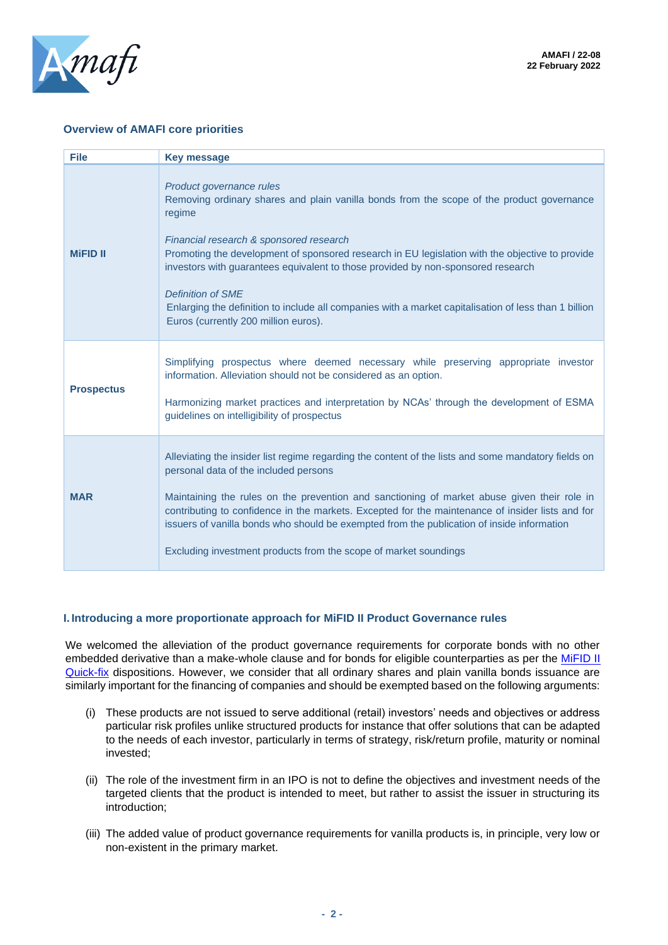

## **Overview of AMAFI core priorities**

| <b>File</b>       | <b>Key message</b>                                                                                                                                                                                                                                                                                                                                                                                                                                                                                                                             |
|-------------------|------------------------------------------------------------------------------------------------------------------------------------------------------------------------------------------------------------------------------------------------------------------------------------------------------------------------------------------------------------------------------------------------------------------------------------------------------------------------------------------------------------------------------------------------|
| <b>MiFID II</b>   | Product governance rules<br>Removing ordinary shares and plain vanilla bonds from the scope of the product governance<br>regime<br>Financial research & sponsored research<br>Promoting the development of sponsored research in EU legislation with the objective to provide<br>investors with guarantees equivalent to those provided by non-sponsored research<br><b>Definition of SME</b><br>Enlarging the definition to include all companies with a market capitalisation of less than 1 billion<br>Euros (currently 200 million euros). |
| <b>Prospectus</b> | Simplifying prospectus where deemed necessary while preserving appropriate investor<br>information. Alleviation should not be considered as an option.<br>Harmonizing market practices and interpretation by NCAs' through the development of ESMA<br>guidelines on intelligibility of prospectus                                                                                                                                                                                                                                              |
| <b>MAR</b>        | Alleviating the insider list regime regarding the content of the lists and some mandatory fields on<br>personal data of the included persons<br>Maintaining the rules on the prevention and sanctioning of market abuse given their role in<br>contributing to confidence in the markets. Excepted for the maintenance of insider lists and for<br>issuers of vanilla bonds who should be exempted from the publication of inside information<br>Excluding investment products from the scope of market soundings                              |

### **I. Introducing a more proportionate approach for MiFID II Product Governance rules**

We welcomed the alleviation of the product governance requirements for corporate bonds with no other embedded derivative than a make-whole clause and for bonds for eligible counterparties as per the MiFID II [Quick-fix](https://eur-lex.europa.eu/legal-content/EN/TXT/PDF/?uri=CELEX:32021L0338&from=FR) dispositions. However, we consider that all ordinary shares and plain vanilla bonds issuance are similarly important for the financing of companies and should be exempted based on the following arguments:

- (i) These products are not issued to serve additional (retail) investors' needs and objectives or address particular risk profiles unlike structured products for instance that offer solutions that can be adapted to the needs of each investor, particularly in terms of strategy, risk/return profile, maturity or nominal invested;
- (ii) The role of the investment firm in an IPO is not to define the objectives and investment needs of the targeted clients that the product is intended to meet, but rather to assist the issuer in structuring its introduction;
- (iii) The added value of product governance requirements for vanilla products is, in principle, very low or non-existent in the primary market.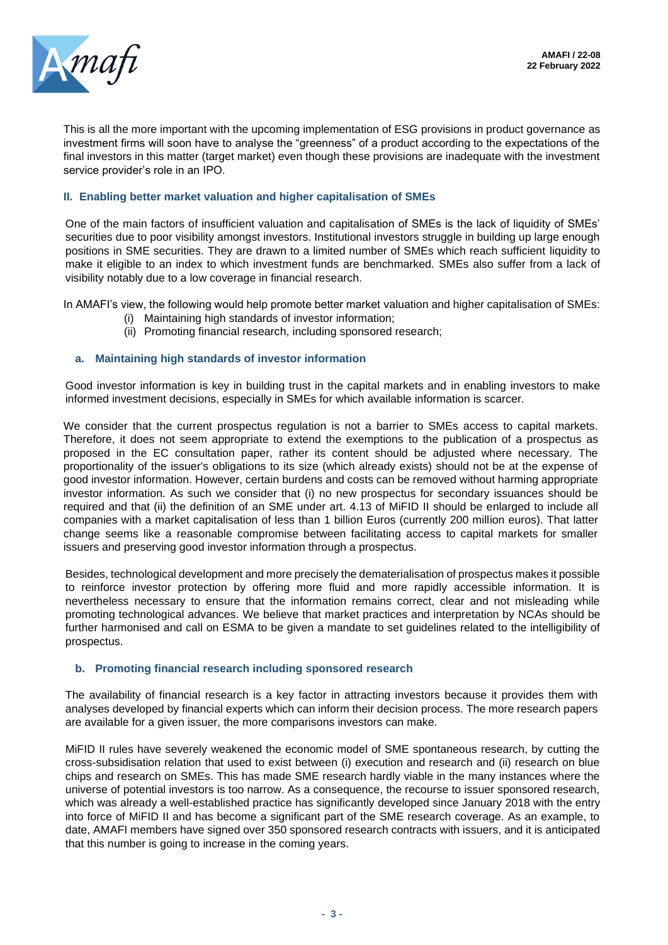

This is all the more important with the upcoming implementation of ESG provisions in product governance as investment firms will soon have to analyse the "greenness" of a product according to the expectations of the final investors in this matter (target market) even though these provisions are inadequate with the investment service provider's role in an IPO.

## **II. Enabling better market valuation and higher capitalisation of SMEs**

One of the main factors of insufficient valuation and capitalisation of SMEs is the lack of liquidity of SMEs' securities due to poor visibility amongst investors. Institutional investors struggle in building up large enough positions in SME securities. They are drawn to a limited number of SMEs which reach sufficient liquidity to make it eligible to an index to which investment funds are benchmarked. SMEs also suffer from a lack of visibility notably due to a low coverage in financial research.

In AMAFI's view, the following would help promote better market valuation and higher capitalisation of SMEs:

- (i) Maintaining high standards of investor information;
- (ii) Promoting financial research, including sponsored research;

## **a. Maintaining high standards of investor information**

Good investor information is key in building trust in the capital markets and in enabling investors to make informed investment decisions, especially in SMEs for which available information is scarcer.

We consider that the current prospectus regulation is not a barrier to SMEs access to capital markets. Therefore, it does not seem appropriate to extend the exemptions to the publication of a prospectus as proposed in the EC consultation paper, rather its content should be adjusted where necessary. The proportionality of the issuer's obligations to its size (which already exists) should not be at the expense of good investor information. However, certain burdens and costs can be removed without harming appropriate investor information. As such we consider that (i) no new prospectus for secondary issuances should be required and that (ii) the definition of an SME under art. 4.13 of MiFID II should be enlarged to include all companies with a market capitalisation of less than 1 billion Euros (currently 200 million euros). That latter change seems like a reasonable compromise between facilitating access to capital markets for smaller issuers and preserving good investor information through a prospectus.

Besides, technological development and more precisely the dematerialisation of prospectus makes it possible to reinforce investor protection by offering more fluid and more rapidly accessible information. It is nevertheless necessary to ensure that the information remains correct, clear and not misleading while promoting technological advances. We believe that market practices and interpretation by NCAs should be further harmonised and call on ESMA to be given a mandate to set guidelines related to the intelligibility of prospectus.

### **b. Promoting financial research including sponsored research**

The availability of financial research is a key factor in attracting investors because it provides them with analyses developed by financial experts which can inform their decision process. The more research papers are available for a given issuer, the more comparisons investors can make.

MiFID II rules have severely weakened the economic model of SME spontaneous research, by cutting the cross-subsidisation relation that used to exist between (i) execution and research and (ii) research on blue chips and research on SMEs. This has made SME research hardly viable in the many instances where the universe of potential investors is too narrow. As a consequence, the recourse to issuer sponsored research, which was already a well-established practice has significantly developed since January 2018 with the entry into force of MiFID II and has become a significant part of the SME research coverage. As an example, to date, AMAFI members have signed over 350 sponsored research contracts with issuers, and it is anticipated that this number is going to increase in the coming years.